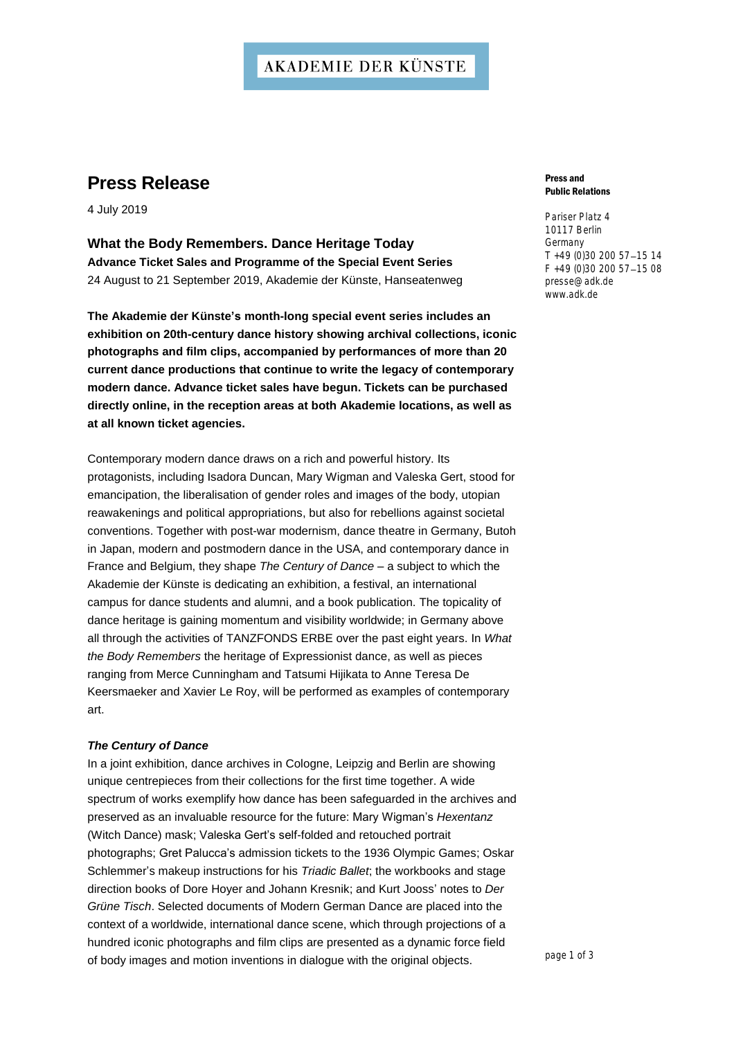## **AKADEMIE DER KÜNSTE**

# **Press Release**

4 July 2019

**What the Body Remembers. Dance Heritage Today Advance Ticket Sales and Programme of the Special Event Series** 24 August to 21 September 2019, Akademie der Künste, Hanseatenweg

**The Akademie der Künste's month-long special event series includes an exhibition on 20th-century dance history showing archival collections, iconic photographs and film clips, accompanied by performances of more than 20 current dance productions that continue to write the legacy of contemporary modern dance. Advance ticket sales have begun. Tickets can be purchased directly online, in the reception areas at both Akademie locations, as well as at all known ticket agencies.**

Contemporary modern dance draws on a rich and powerful history. Its protagonists, including Isadora Duncan, Mary Wigman and Valeska Gert, stood for emancipation, the liberalisation of gender roles and images of the body, utopian reawakenings and political appropriations, but also for rebellions against societal conventions. Together with post-war modernism, dance theatre in Germany, Butoh in Japan, modern and postmodern dance in the USA, and contemporary dance in France and Belgium, they shape *The Century of Dance* – a subject to which the Akademie der Künste is dedicating an exhibition, a festival, an international campus for dance students and alumni, and a book publication. The topicality of dance heritage is gaining momentum and visibility worldwide; in Germany above all through the activities of TANZFONDS ERBE over the past eight years. In *What the Body Remembers* the heritage of Expressionist dance, as well as pieces ranging from Merce Cunningham and Tatsumi Hijikata to Anne Teresa De Keersmaeker and Xavier Le Roy, will be performed as examples of contemporary art.

### *The Century of Dance*

In a joint exhibition, dance archives in Cologne, Leipzig and Berlin are showing unique centrepieces from their collections for the first time together. A wide spectrum of works exemplify how dance has been safeguarded in the archives and preserved as an invaluable resource for the future: Mary Wigman's *Hexentanz* (Witch Dance) mask; Valeska Gert's self-folded and retouched portrait photographs; Gret Palucca's admission tickets to the 1936 Olympic Games; Oskar Schlemmer's makeup instructions for his *Triadic Ballet*; the workbooks and stage direction books of Dore Hoyer and Johann Kresnik; and Kurt Jooss' notes to *Der Grüne Tisch*. Selected documents of Modern German Dance are placed into the context of a worldwide, international dance scene, which through projections of a hundred iconic photographs and film clips are presented as a dynamic force field of body images and motion inventions in dialogue with the original objects.

#### Press and Public Relations

Pariser Platz 4 10117 Berlin Germany T +49 (0)30 200 57-15 14 F +49 (0)30 200 57-15 08 [presse@adk.de](mailto:presse@adk.de) [www.adk.de](http://www.adk.de/)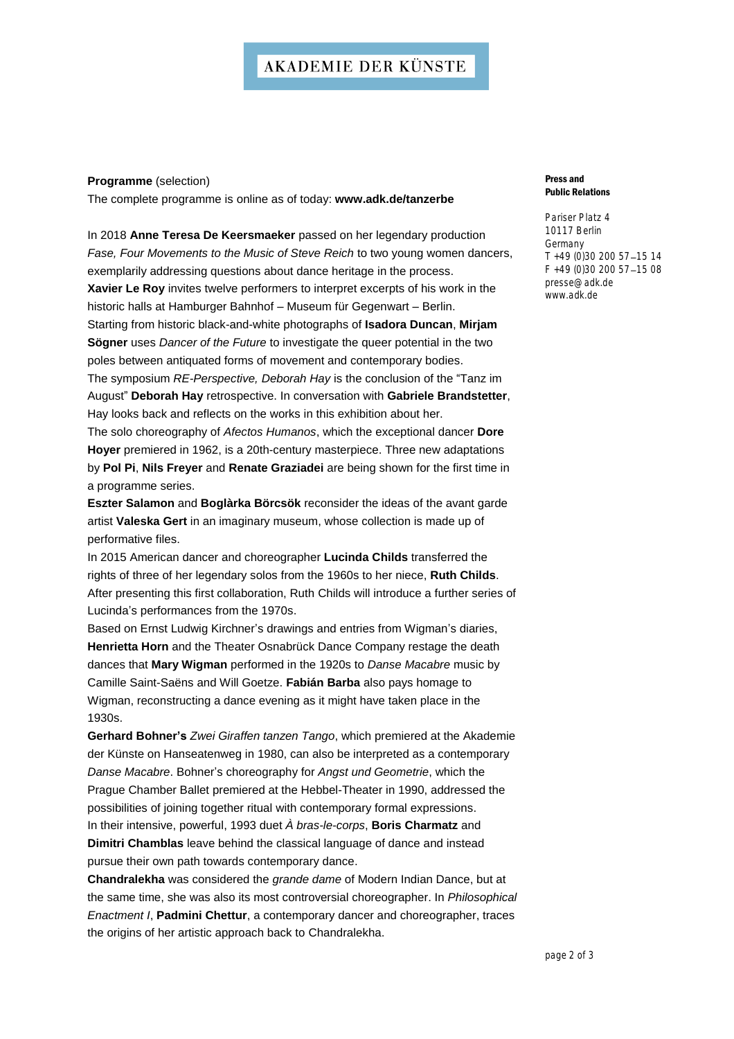**Programme** (selection)

The complete programme is online as of today: **[www.adk.de/tanzerbe](http://www.adk.de/tanzerbe)**

In 2018 **Anne Teresa De Keersmaeker** passed on her legendary production *Fase, Four Movements to the Music of Steve Reich* to two young women dancers, exemplarily addressing questions about dance heritage in the process.

**Xavier Le Roy** invites twelve performers to interpret excerpts of his work in the historic halls at Hamburger Bahnhof – Museum für Gegenwart – Berlin. Starting from historic black-and-white photographs of **Isadora Duncan**, **Mirjam Sögner** uses *Dancer of the Future* to investigate the queer potential in the two

poles between antiquated forms of movement and contemporary bodies.

The symposium *RE-Perspective, Deborah Hay* is the conclusion of the "Tanz im August" **Deborah Hay** retrospective. In conversation with **Gabriele Brandstetter**, Hay looks back and reflects on the works in this exhibition about her.

The solo choreography of *Afectos Humanos*, which the exceptional dancer **Dore Hoyer** premiered in 1962, is a 20th-century masterpiece. Three new adaptations by **Pol Pi**, **Nils Freyer** and **Renate Graziadei** are being shown for the first time in a programme series.

**Eszter Salamon** and **Boglàrka Börcsök** reconsider the ideas of the avant garde artist **Valeska Gert** in an imaginary museum, whose collection is made up of performative files.

In 2015 American dancer and choreographer **Lucinda Childs** transferred the rights of three of her legendary solos from the 1960s to her niece, **Ruth Childs**. After presenting this first collaboration, Ruth Childs will introduce a further series of Lucinda's performances from the 1970s.

Based on Ernst Ludwig Kirchner's drawings and entries from Wigman's diaries, **Henrietta Horn** and the Theater Osnabrück Dance Company restage the death dances that **Mary Wigman** performed in the 1920s to *Danse Macabre* music by Camille Saint-Saëns and Will Goetze. **Fabián Barba** also pays homage to Wigman, reconstructing a dance evening as it might have taken place in the 1930s.

**Gerhard Bohner's** *Zwei Giraffen tanzen Tango*, which premiered at the Akademie der Künste on Hanseatenweg in 1980, can also be interpreted as a contemporary *Danse Macabre*. Bohner's choreography for *Angst und Geometrie*, which the Prague Chamber Ballet premiered at the Hebbel-Theater in 1990, addressed the possibilities of joining together ritual with contemporary formal expressions. In their intensive, powerful, 1993 duet *À bras-le-corps*, **Boris Charmatz** and **Dimitri Chamblas** leave behind the classical language of dance and instead pursue their own path towards contemporary dance.

**Chandralekha** was considered the *grande dame* of Modern Indian Dance, but at the same time, she was also its most controversial choreographer. In *Philosophical Enactment I*, **Padmini Chettur**, a contemporary dancer and choreographer, traces the origins of her artistic approach back to Chandralekha.

#### Press and Public Relations

Pariser Platz 4 10117 Berlin Germany  $T + 49$  (0)30 200 57-15 14  $F + 49$  (0)30 200 57-15 08 [presse@adk.de](mailto:presse@adk.de) [www.adk.de](http://www.adk.de/)